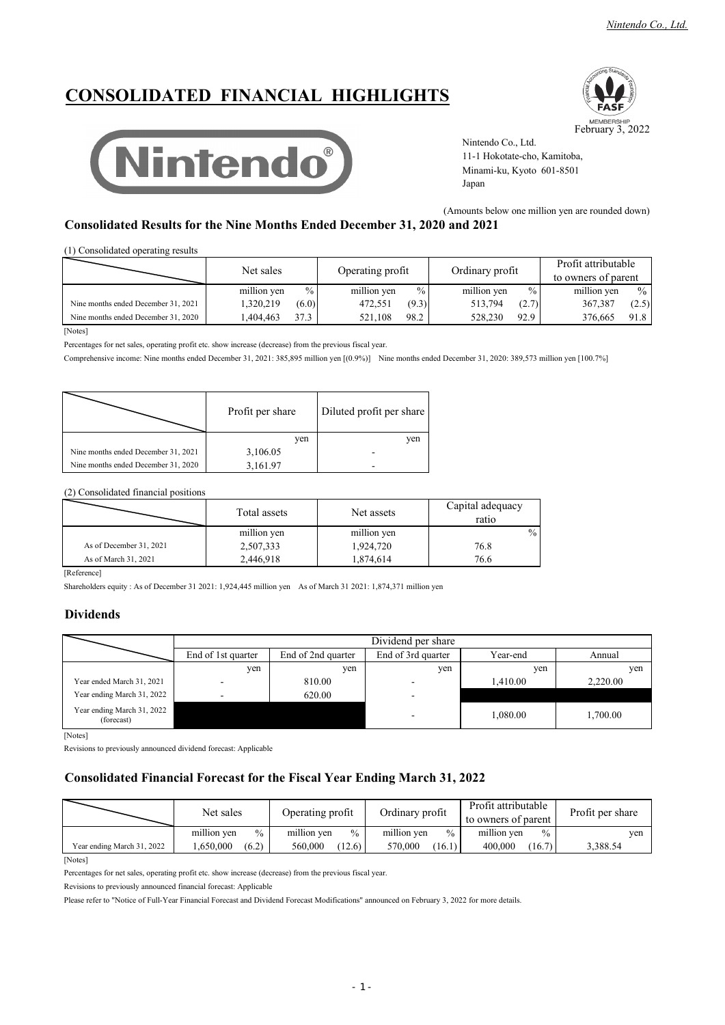*Nintendo Co., Ltd.*

# **CONSOLIDATED FINANCIAL HIGHLIGHTS**





Nintendo Co., Ltd. 11-1 Hokotate-cho, Kamitoba, Minami-ku, Kyoto 601-8501 Japan

(Amounts below one million yen are rounded down)

## **Consolidated Results for the Nine Months Ended December 31, 2020 and 2021**

(1) Consolidated operating results

|                                     | Net sales   | Operating profit | Ordinary profit | Profit attributable<br>to owners of parent |
|-------------------------------------|-------------|------------------|-----------------|--------------------------------------------|
|                                     | million yen | million yen      | million yen     | million yen                                |
|                                     | $\%$        | $\%$             | $\%$            | $\frac{0}{0}$                              |
| Nine months ended December 31, 2021 | (6.0)       | (9.3)            | 513,794         | 367,387                                    |
|                                     | 1,320,219   | 472,551          | (2.7)           | (2.5)                                      |
| Nine months ended December 31, 2020 | 37.3        | 98.2             | 92.9            | 91.8                                       |
|                                     | .404.463    | 521.108          | 528,230         | 376,665                                    |

[Notes]

Percentages for net sales, operating profit etc. show increase (decrease) from the previous fiscal year.

Comprehensive income: Nine months ended December 31, 2021: 385,895 million yen [(0.9%)] Nine months ended December 31, 2020: 389,573 million yen [100.7%]

|                                     | Profit per share | Diluted profit per share |
|-------------------------------------|------------------|--------------------------|
|                                     | ven              | ven                      |
| Nine months ended December 31, 2021 | 3,106.05         |                          |
| Nine months ended December 31, 2020 | 3,161.97         |                          |

(2) Consolidated financial positions

|                         | Total assets | Net assets  | Capital adequacy<br>ratio |
|-------------------------|--------------|-------------|---------------------------|
|                         | million yen  | million yen | $\%$                      |
| As of December 31, 2021 | 2,507,333    | 1,924,720   | 76.8                      |
| As of March 31, 2021    | 2,446,918    | 874,614. ا  | 76.6                      |

[Reference]

Shareholders equity : As of December 31 2021: 1,924,445 million yen As of March 31 2021: 1,874,371 million yen

### **Dividends**

|                                          | Dividend per share |                                                                |                          |          |          |  |  |
|------------------------------------------|--------------------|----------------------------------------------------------------|--------------------------|----------|----------|--|--|
|                                          | End of 1st quarter | End of 3rd quarter<br>End of 2nd quarter<br>Year-end<br>Annual |                          |          |          |  |  |
|                                          | yen                | yen                                                            | yen                      | yen      | yen      |  |  |
| Year ended March 31, 2021                | -                  | 810.00                                                         |                          | 1.410.00 | 2,220.00 |  |  |
| Year ending March 31, 2022               | $\sim$             | 620.00                                                         | $\overline{\phantom{a}}$ |          |          |  |  |
| Year ending March 31, 2022<br>(forecast) |                    |                                                                | $\overline{\phantom{a}}$ | 1,080.00 | 1,700.00 |  |  |

[Notes]

Revisions to previously announced dividend forecast: Applicable

## **Consolidated Financial Forecast for the Fiscal Year Ending March 31, 2022**

|                            | Net sales                    | Operating profit             | Ordinary profit     | Profit attributable<br>to owners of parent | Profit per share |
|----------------------------|------------------------------|------------------------------|---------------------|--------------------------------------------|------------------|
|                            | million ven<br>$\frac{0}{0}$ | million ven<br>$\frac{0}{0}$ | million ven<br>$\%$ | million ven<br>$\%$                        | ven              |
| Year ending March 31, 2022 | .650.000<br>(6.2)            | 560.000<br>(12.6)            | 570,000<br>(16.1)   | 400.000<br>(16.7)                          | 3,388.54         |

[Notes]

Percentages for net sales, operating profit etc. show increase (decrease) from the previous fiscal year.

Revisions to previously announced financial forecast: Applicable

Please refer to "Notice of Full-Year Financial Forecast and Dividend Forecast Modifications" announced on February 3, 2022 for more details.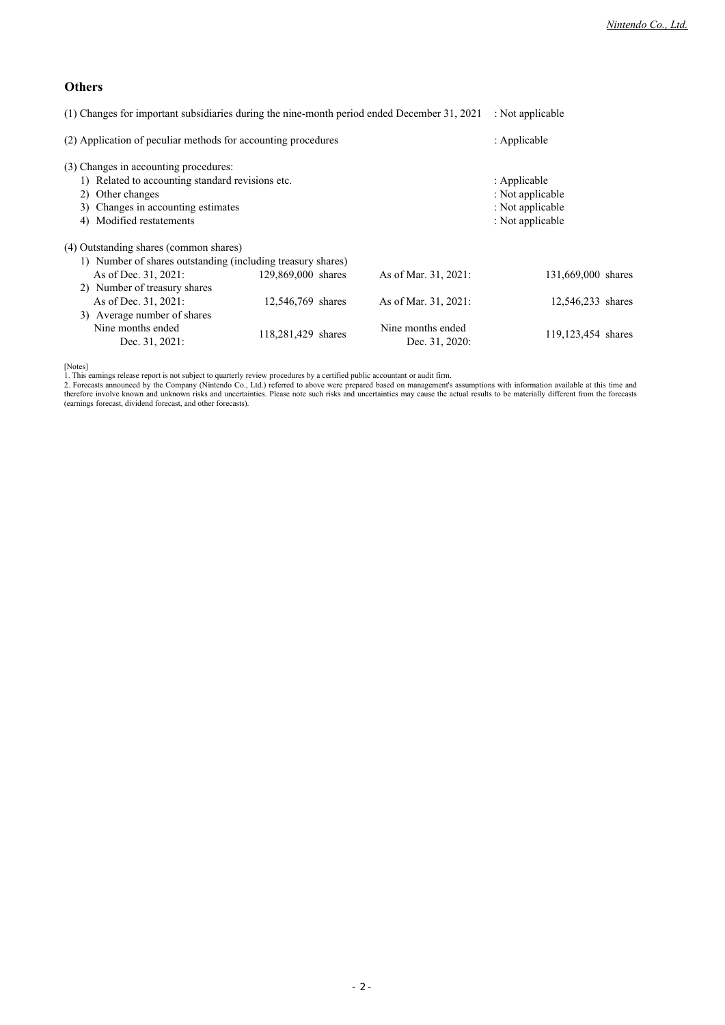## **Others**

| (1) Changes for important subsidiaries during the nine-month period ended December 31, 2021                                                                                     |                                                                          |                      | : Not applicable   |
|---------------------------------------------------------------------------------------------------------------------------------------------------------------------------------|--------------------------------------------------------------------------|----------------------|--------------------|
| (2) Application of peculiar methods for accounting procedures                                                                                                                   | : Applicable                                                             |                      |                    |
| (3) Changes in accounting procedures:<br>1) Related to accounting standard revisions etc.<br>2) Other changes<br>3) Changes in accounting estimates<br>4) Modified restatements | : Applicable<br>: Not applicable<br>: Not applicable<br>: Not applicable |                      |                    |
| (4) Outstanding shares (common shares)<br>1) Number of shares outstanding (including treasury shares)<br>As of Dec. 31, 2021:<br>2) Number of treasury shares                   | 129,869,000 shares                                                       | As of Mar. 31, 2021: | 131,669,000 shares |

As of Dec. 31, 2021: 12,546,769 shares As of Mar. 31, 2021: 12,546,233 shares 3) Average number of shares Nine months ended<br>119,291,420, 1<br>Nine months ended Dec. 31, 2021: 118,281,429 shares 118,281,429 shares 119,123,454 shares 119,123,454 hares

[Notes]

1. This earnings release report is not subject to quarterly review procedures by a certified public accountant or audit firm.<br>2. Forecasts announced by the Company (Nintendo Co., Ltd.) referred to above were prepared based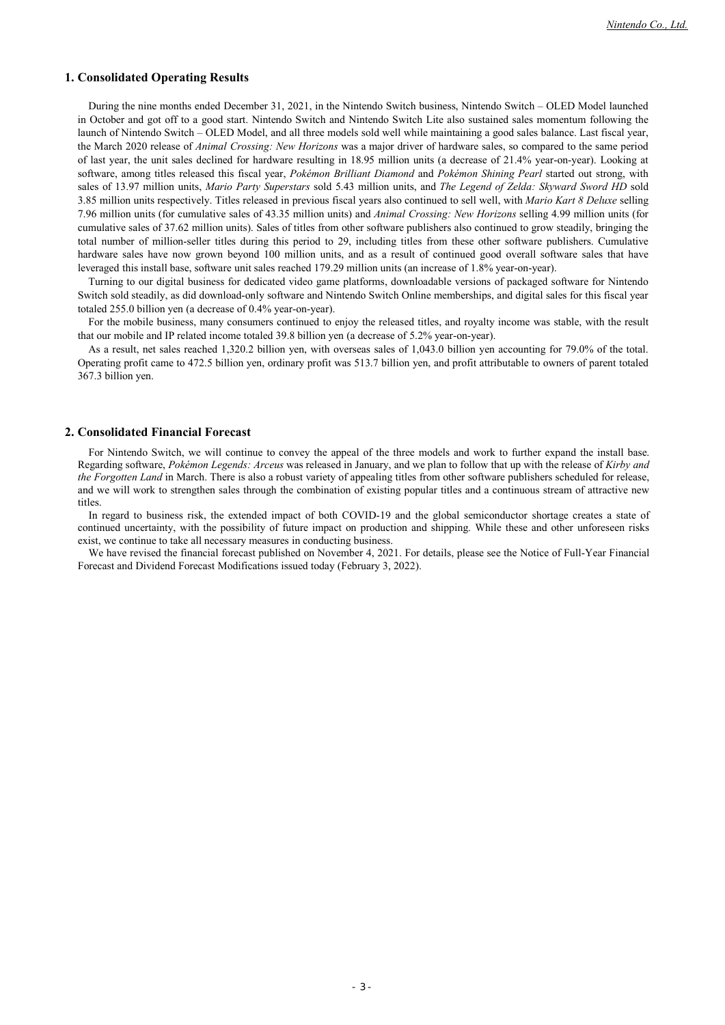#### **1. Consolidated Operating Results**

During the nine months ended December 31, 2021, in the Nintendo Switch business, Nintendo Switch – OLED Model launched in October and got off to a good start. Nintendo Switch and Nintendo Switch Lite also sustained sales momentum following the launch of Nintendo Switch – OLED Model, and all three models sold well while maintaining a good sales balance. Last fiscal year, the March 2020 release of *Animal Crossing: New Horizons* was a major driver of hardware sales, so compared to the same period of last year, the unit sales declined for hardware resulting in 18.95 million units (a decrease of 21.4% year-on-year). Looking at software, among titles released this fiscal year, *Pokémon Brilliant Diamond* and *Pokémon Shining Pearl* started out strong, with sales of 13.97 million units, *Mario Party Superstars* sold 5.43 million units, and *The Legend of Zelda: Skyward Sword HD* sold 3.85 million units respectively. Titles released in previous fiscal years also continued to sell well, with *Mario Kart 8 Deluxe* selling 7.96 million units (for cumulative sales of 43.35 million units) and *Animal Crossing: New Horizons* selling 4.99 million units (for cumulative sales of 37.62 million units). Sales of titles from other software publishers also continued to grow steadily, bringing the total number of million-seller titles during this period to 29, including titles from these other software publishers. Cumulative hardware sales have now grown beyond 100 million units, and as a result of continued good overall software sales that have leveraged this install base, software unit sales reached 179.29 million units (an increase of 1.8% year-on-year).

Turning to our digital business for dedicated video game platforms, downloadable versions of packaged software for Nintendo Switch sold steadily, as did download-only software and Nintendo Switch Online memberships, and digital sales for this fiscal year totaled 255.0 billion yen (a decrease of 0.4% year-on-year).

For the mobile business, many consumers continued to enjoy the released titles, and royalty income was stable, with the result that our mobile and IP related income totaled 39.8 billion yen (a decrease of 5.2% year-on-year).

As a result, net sales reached 1,320.2 billion yen, with overseas sales of 1,043.0 billion yen accounting for 79.0% of the total. Operating profit came to 472.5 billion yen, ordinary profit was 513.7 billion yen, and profit attributable to owners of parent totaled 367.3 billion yen.

### **2. Consolidated Financial Forecast**

For Nintendo Switch, we will continue to convey the appeal of the three models and work to further expand the install base. Regarding software, *Pokémon Legends: Arceus* was released in January, and we plan to follow that up with the release of *Kirby and the Forgotten Land* in March. There is also a robust variety of appealing titles from other software publishers scheduled for release, and we will work to strengthen sales through the combination of existing popular titles and a continuous stream of attractive new titles.

In regard to business risk, the extended impact of both COVID-19 and the global semiconductor shortage creates a state of continued uncertainty, with the possibility of future impact on production and shipping. While these and other unforeseen risks exist, we continue to take all necessary measures in conducting business.

We have revised the financial forecast published on November 4, 2021. For details, please see the Notice of Full-Year Financial Forecast and Dividend Forecast Modifications issued today (February 3, 2022).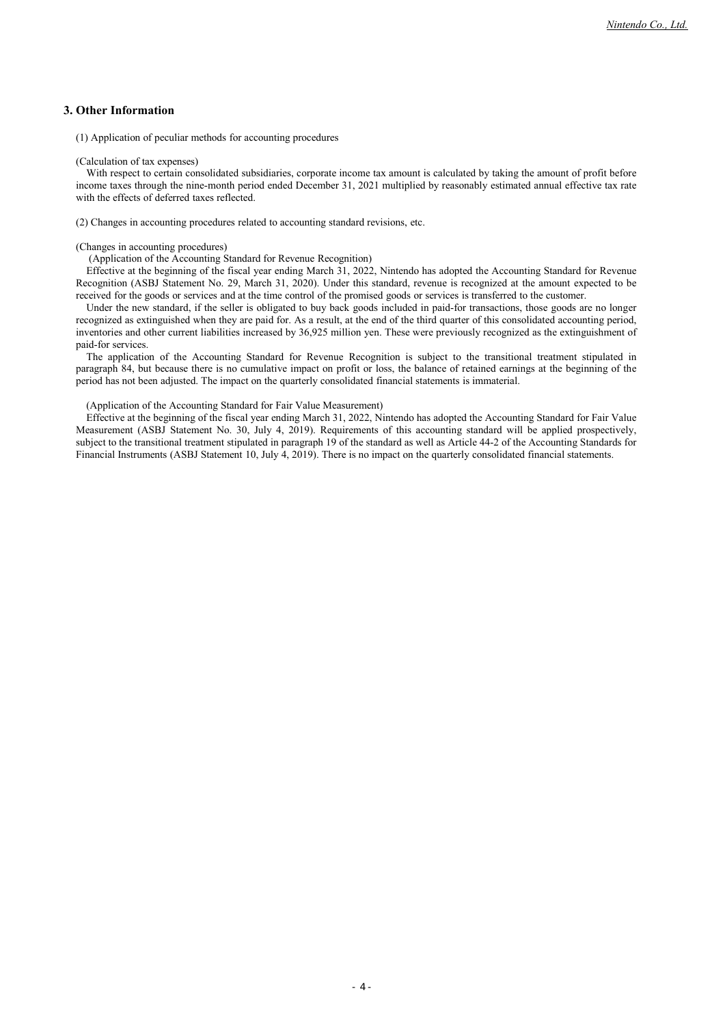### **3. Other Information**

(1) Application of peculiar methods for accounting procedures

#### (Calculation of tax expenses)

With respect to certain consolidated subsidiaries, corporate income tax amount is calculated by taking the amount of profit before income taxes through the nine-month period ended December 31, 2021 multiplied by reasonably estimated annual effective tax rate with the effects of deferred taxes reflected.

(2) Changes in accounting procedures related to accounting standard revisions, etc.

#### (Changes in accounting procedures)

(Application of the Accounting Standard for Revenue Recognition)

Effective at the beginning of the fiscal year ending March 31, 2022, Nintendo has adopted the Accounting Standard for Revenue Recognition (ASBJ Statement No. 29, March 31, 2020). Under this standard, revenue is recognized at the amount expected to be received for the goods or services and at the time control of the promised goods or services is transferred to the customer.

Under the new standard, if the seller is obligated to buy back goods included in paid-for transactions, those goods are no longer recognized as extinguished when they are paid for. As a result, at the end of the third quarter of this consolidated accounting period, inventories and other current liabilities increased by 36,925 million yen. These were previously recognized as the extinguishment of paid-for services.

The application of the Accounting Standard for Revenue Recognition is subject to the transitional treatment stipulated in paragraph 84, but because there is no cumulative impact on profit or loss, the balance of retained earnings at the beginning of the period has not been adjusted. The impact on the quarterly consolidated financial statements is immaterial.

(Application of the Accounting Standard for Fair Value Measurement)

Effective at the beginning of the fiscal year ending March 31, 2022, Nintendo has adopted the Accounting Standard for Fair Value Measurement (ASBJ Statement No. 30, July 4, 2019). Requirements of this accounting standard will be applied prospectively, subject to the transitional treatment stipulated in paragraph 19 of the standard as well as Article 44-2 of the Accounting Standards for Financial Instruments (ASBJ Statement 10, July 4, 2019). There is no impact on the quarterly consolidated financial statements.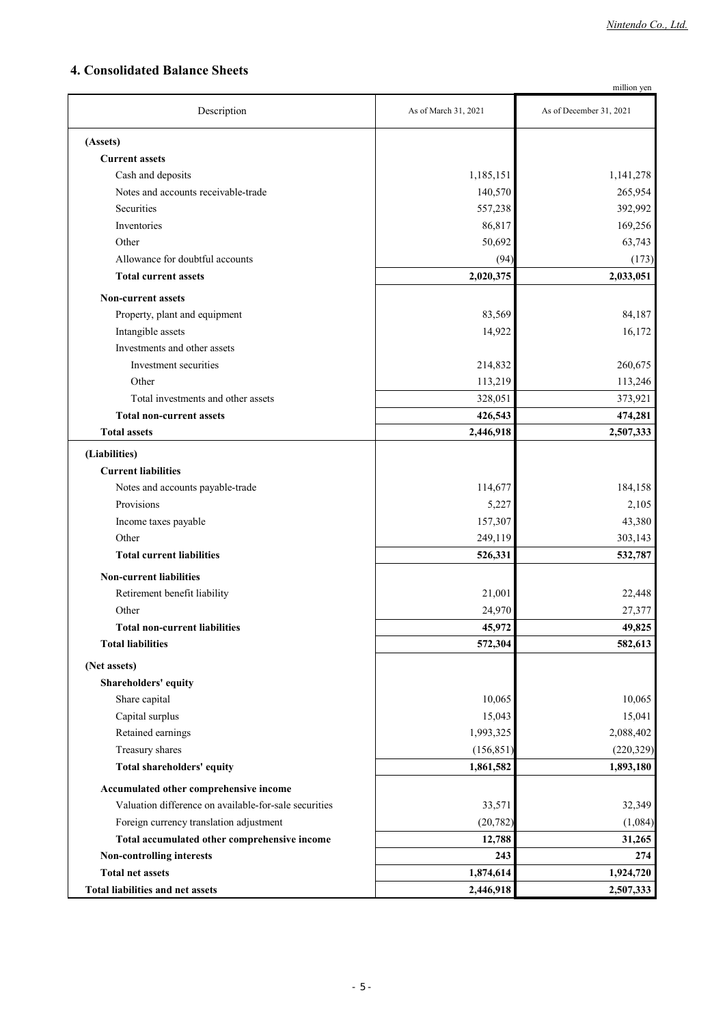## **4. Consolidated Balance Sheets**

| million yen                                           |                      |                         |  |  |
|-------------------------------------------------------|----------------------|-------------------------|--|--|
| Description                                           | As of March 31, 2021 | As of December 31, 2021 |  |  |
| (Assets)                                              |                      |                         |  |  |
| <b>Current assets</b>                                 |                      |                         |  |  |
| Cash and deposits                                     | 1,185,151            | 1,141,278               |  |  |
| Notes and accounts receivable-trade                   | 140,570              | 265,954                 |  |  |
| Securities                                            | 557,238              | 392,992                 |  |  |
| Inventories                                           | 86,817               | 169,256                 |  |  |
| Other                                                 | 50,692               | 63,743                  |  |  |
| Allowance for doubtful accounts                       | (94)                 | (173)                   |  |  |
| <b>Total current assets</b>                           | 2,020,375            | 2,033,051               |  |  |
| <b>Non-current assets</b>                             |                      |                         |  |  |
| Property, plant and equipment                         | 83,569               | 84,187                  |  |  |
| Intangible assets                                     | 14,922               | 16,172                  |  |  |
| Investments and other assets                          |                      |                         |  |  |
| Investment securities                                 | 214,832              | 260,675                 |  |  |
| Other                                                 | 113,219              | 113,246                 |  |  |
| Total investments and other assets                    | 328,051              | 373,921                 |  |  |
| <b>Total non-current assets</b>                       | 426,543              | 474,281                 |  |  |
| <b>Total assets</b>                                   | 2,446,918            | 2,507,333               |  |  |
| (Liabilities)                                         |                      |                         |  |  |
| <b>Current liabilities</b>                            |                      |                         |  |  |
| Notes and accounts payable-trade                      | 114,677              | 184,158                 |  |  |
| Provisions                                            | 5,227                | 2,105                   |  |  |
| Income taxes payable                                  | 157,307              | 43,380                  |  |  |
| Other                                                 | 249,119              | 303,143                 |  |  |
| <b>Total current liabilities</b>                      | 526,331              | 532,787                 |  |  |
| <b>Non-current liabilities</b>                        |                      |                         |  |  |
| Retirement benefit liability                          | 21,001               | 22,448                  |  |  |
| Other                                                 | 24,970               | 27,377                  |  |  |
| <b>Total non-current liabilities</b>                  | 45,972               | 49,825                  |  |  |
| <b>Total liabilities</b>                              | 572,304              | 582,613                 |  |  |
| (Net assets)                                          |                      |                         |  |  |
| Shareholders' equity                                  |                      |                         |  |  |
| Share capital                                         | 10,065               | 10,065                  |  |  |
| Capital surplus                                       | 15,043               | 15,041                  |  |  |
| Retained earnings                                     | 1,993,325            | 2,088,402               |  |  |
| Treasury shares                                       | (156, 851)           | (220, 329)              |  |  |
| Total shareholders' equity                            | 1,861,582            | 1,893,180               |  |  |
| Accumulated other comprehensive income                |                      |                         |  |  |
| Valuation difference on available-for-sale securities | 33,571               | 32,349                  |  |  |
| Foreign currency translation adjustment               | (20, 782)            | (1,084)                 |  |  |
| Total accumulated other comprehensive income          | 12,788               | 31,265                  |  |  |
| Non-controlling interests                             | 243                  | 274                     |  |  |
| <b>Total net assets</b>                               | 1,874,614            | 1,924,720               |  |  |
| <b>Total liabilities and net assets</b>               | 2,446,918            | 2,507,333               |  |  |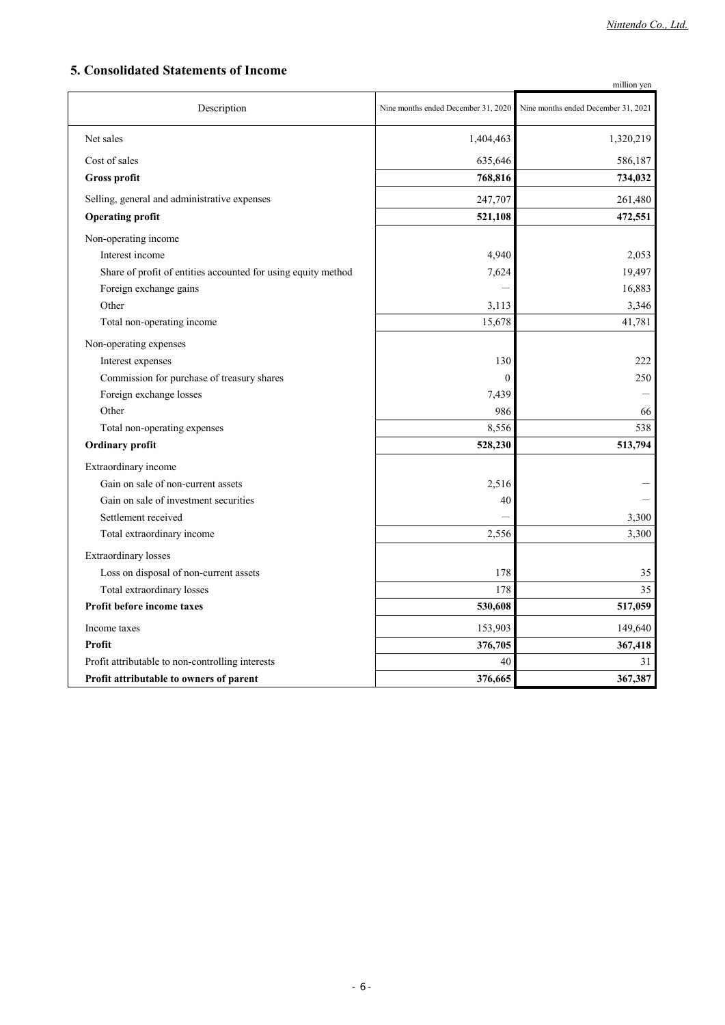## **5. Consolidated Statements of Income**

|                                                               |                                     | million yen                         |
|---------------------------------------------------------------|-------------------------------------|-------------------------------------|
| Description                                                   | Nine months ended December 31, 2020 | Nine months ended December 31, 2021 |
| Net sales                                                     | 1,404,463                           | 1,320,219                           |
| Cost of sales                                                 | 635,646                             | 586,187                             |
| <b>Gross profit</b>                                           | 768,816                             | 734,032                             |
| Selling, general and administrative expenses                  | 247,707                             | 261,480                             |
| <b>Operating profit</b>                                       | 521,108                             | 472,551                             |
| Non-operating income                                          |                                     |                                     |
| Interest income                                               | 4,940                               | 2,053                               |
| Share of profit of entities accounted for using equity method | 7,624                               | 19,497                              |
| Foreign exchange gains                                        |                                     | 16,883                              |
| Other                                                         | 3,113                               | 3,346                               |
| Total non-operating income                                    | 15,678                              | 41,781                              |
| Non-operating expenses                                        |                                     |                                     |
| Interest expenses                                             | 130                                 | 222                                 |
| Commission for purchase of treasury shares                    | $\mathbf{0}$                        | 250                                 |
| Foreign exchange losses                                       | 7,439                               |                                     |
| Other                                                         | 986                                 | 66                                  |
| Total non-operating expenses                                  | 8,556                               | 538                                 |
| Ordinary profit                                               | 528,230                             | 513,794                             |
| Extraordinary income                                          |                                     |                                     |
| Gain on sale of non-current assets                            | 2,516                               |                                     |
| Gain on sale of investment securities                         | 40                                  |                                     |
| Settlement received                                           |                                     | 3,300                               |
| Total extraordinary income                                    | 2,556                               | 3,300                               |
| <b>Extraordinary losses</b>                                   |                                     |                                     |
| Loss on disposal of non-current assets                        | 178                                 | 35                                  |
| Total extraordinary losses                                    | 178                                 | 35                                  |
| <b>Profit before income taxes</b>                             | 530,608                             | 517,059                             |
| Income taxes                                                  | 153,903                             | 149,640                             |
| Profit                                                        | 376,705                             | 367,418                             |
| Profit attributable to non-controlling interests              | 40                                  | 31                                  |
| Profit attributable to owners of parent                       | 376,665                             | 367,387                             |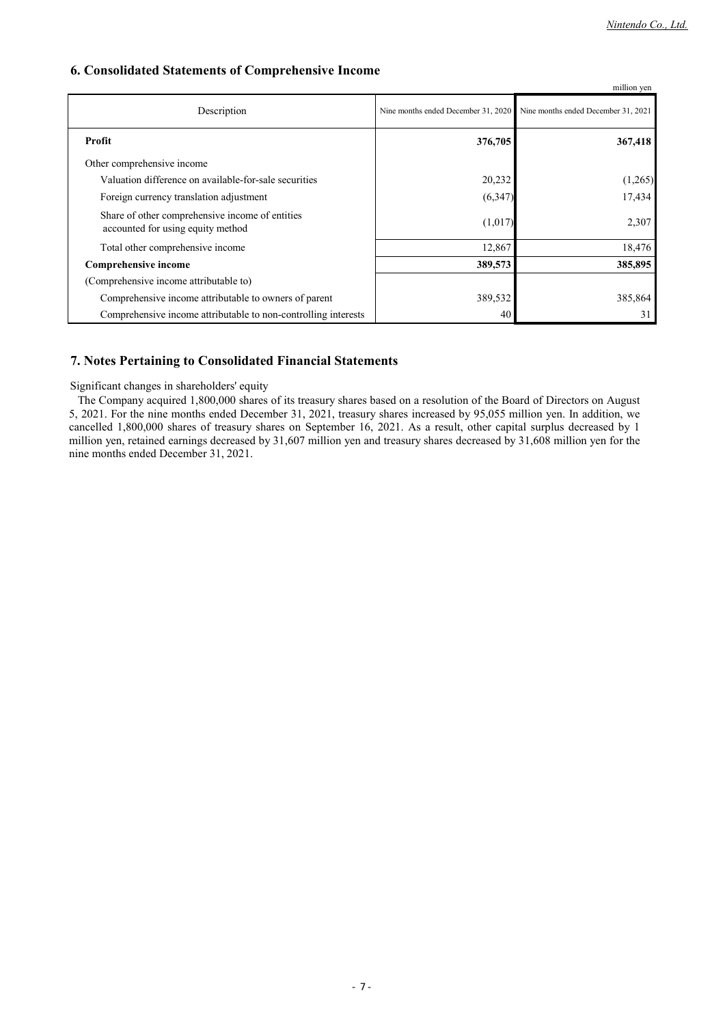## **6. Consolidated Statements of Comprehensive Income**

|                                                                                      |                                     | million yen                         |
|--------------------------------------------------------------------------------------|-------------------------------------|-------------------------------------|
| Description                                                                          | Nine months ended December 31, 2020 | Nine months ended December 31, 2021 |
| Profit                                                                               | 376,705                             | 367,418                             |
| Other comprehensive income                                                           |                                     |                                     |
| Valuation difference on available-for-sale securities                                | 20,232                              | (1,265)                             |
| Foreign currency translation adjustment                                              | (6,347)                             | 17,434                              |
| Share of other comprehensive income of entities<br>accounted for using equity method | (1,017)                             | 2,307                               |
| Total other comprehensive income                                                     | 12,867                              | 18,476                              |
| <b>Comprehensive income</b>                                                          | 389,573                             | 385,895                             |
| (Comprehensive income attributable to)                                               |                                     |                                     |
| Comprehensive income attributable to owners of parent                                | 389,532                             | 385,864                             |
| Comprehensive income attributable to non-controlling interests                       | 40                                  | 31                                  |

## **7. Notes Pertaining to Consolidated Financial Statements**

Significant changes in shareholders' equity

The Company acquired 1,800,000 shares of its treasury shares based on a resolution of the Board of Directors on August 5, 2021. For the nine months ended December 31, 2021, treasury shares increased by 95,055 million yen. In addition, we cancelled 1,800,000 shares of treasury shares on September 16, 2021. As a result, other capital surplus decreased by 1 million yen, retained earnings decreased by 31,607 million yen and treasury shares decreased by 31,608 million yen for the nine months ended December 31, 2021.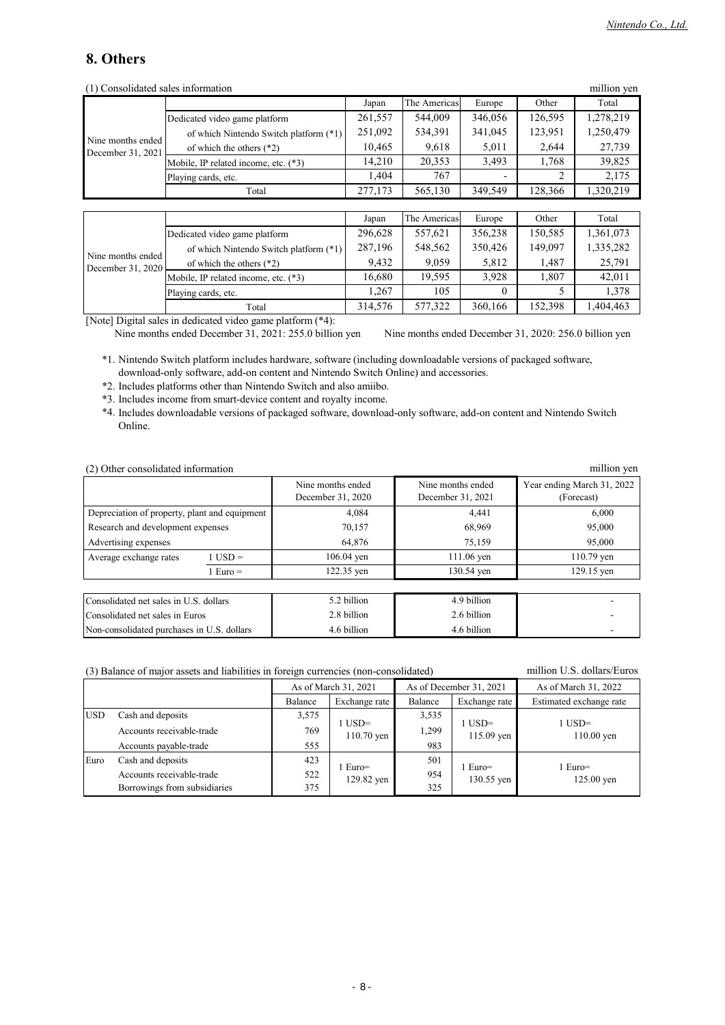## **8. Others**

| (1) Consolidated sales information     |                                        |         |              |          |         | million yen |
|----------------------------------------|----------------------------------------|---------|--------------|----------|---------|-------------|
|                                        |                                        | Japan   | The Americas | Europe   | Other   | Total       |
|                                        | Dedicated video game platform          | 261,557 | 544,009      | 346,056  | 126,595 | 1,278,219   |
|                                        | of which Nintendo Switch platform (*1) | 251,092 | 534,391      | 341,045  | 123,951 | 1,250,479   |
| Nine months ended<br>December 31, 2021 | of which the others $(*2)$             | 10,465  | 9,618        | 5,011    | 2,644   | 27,739      |
|                                        | Mobile, IP related income, etc. (*3)   | 14,210  | 20,353       | 3,493    | 1,768   | 39,825      |
|                                        | Playing cards, etc.                    | 1.404   | 767          |          | 2       | 2,175       |
|                                        | Total                                  | 277,173 | 565,130      | 349,549  | 128,366 | 1,320,219   |
|                                        |                                        |         |              |          |         |             |
|                                        |                                        | Japan   | The Americas | Europe   | Other   | Total       |
|                                        | Dedicated video game platform          | 296,628 | 557,621      | 356,238  | 150,585 | 1,361,073   |
|                                        | of which Nintendo Switch platform (*1) | 287,196 | 548,562      | 350,426  | 149,097 | 1,335,282   |
| Nine months ended<br>December 31, 2020 | of which the others $(*2)$             | 9,432   | 9,059        | 5,812    | 1,487   | 25,791      |
|                                        | Mobile, IP related income, etc. (*3)   | 16,680  | 19,595       | 3,928    | 1,807   | 42,011      |
|                                        | Playing cards, etc.                    | 1,267   | 105          | $\theta$ | 5       | 1,378       |
|                                        | Total                                  | 314,576 | 577,322      | 360,166  | 152,398 | 1,404,463   |

[Note] Digital sales in dedicated video game platform (\*4):

Nine months ended December 31, 2021: 255.0 billion yen Nine months ended December 31, 2020: 256.0 billion yen

\*1. Nintendo Switch platform includes hardware, software (including downloadable versions of packaged software, download-only software, add-on content and Nintendo Switch Online) and accessories.

\*2. Includes platforms other than Nintendo Switch and also amiibo.

\*3. Includes income from smart-device content and royalty income.

\*4. Includes downloadable versions of packaged software, download-only software, add-on content and Nintendo Switch Online.

| (2) Other consolidated information |  |
|------------------------------------|--|
|------------------------------------|--|

| (2) Other consolidated information            |                                   |                   |                   | million yen                |
|-----------------------------------------------|-----------------------------------|-------------------|-------------------|----------------------------|
|                                               |                                   | Nine months ended | Nine months ended | Year ending March 31, 2022 |
|                                               |                                   | December 31, 2020 | December 31, 2021 | (Forecast)                 |
| Depreciation of property, plant and equipment |                                   | 4.084             | 4.441             | 6.000                      |
|                                               | Research and development expenses |                   | 68,969            | 95,000                     |
| Advertising expenses                          |                                   | 64,876            | 75,159            | 95,000                     |
| Average exchange rates                        | $1$ USD =                         | $106.04$ yen      | 111.06 yen        | $110.79$ yen               |
|                                               | $1 \text{ Euro} =$                | 122.35 yen        | 130.54 yen        | 129.15 yen                 |
|                                               |                                   |                   |                   |                            |
| Consolidated net sales in U.S. dollars        |                                   | 5.2 billion       | 4.9 billion       |                            |
| Consolidated net sales in Euros               |                                   | 2.8 billion       | 2.6 billion       |                            |
| Non-consolidated purchases in U.S. dollars    |                                   | 4.6 billion       | 4.6 billion       |                            |

| (3) Balance of major assets and liabilities in foreign currencies (non-consolidated) | million U.S. dollars/Euros |
|--------------------------------------------------------------------------------------|----------------------------|
|--------------------------------------------------------------------------------------|----------------------------|

|            |                              | As of March 31, 2021 |                        | As of December 31, 2021 |                        | As of March 31, 2022      |  |
|------------|------------------------------|----------------------|------------------------|-------------------------|------------------------|---------------------------|--|
|            |                              | Balance              | Exchange rate          | Balance                 | Exchange rate          | Estimated exchange rate   |  |
| <b>USD</b> | Cash and deposits            | 3,575                |                        | 3,535                   | $1$ USD=<br>115.09 yen | $1$ USD $=$<br>110.00 yen |  |
|            | Accounts receivable-trade    | 769                  | l USD=<br>$110.70$ yen | 1,299                   |                        |                           |  |
|            | Accounts payable-trade       | 555                  |                        | 983                     |                        |                           |  |
| Euro       | Cash and deposits            | 423                  | Euro=<br>129.82 yen    | 501                     | Euro=                  | 1 Euro=                   |  |
|            | Accounts receivable-trade    | 522                  |                        | 954                     | 130.55 yen             | 125.00 yen                |  |
|            | Borrowings from subsidiaries | 375                  |                        | 325                     |                        |                           |  |